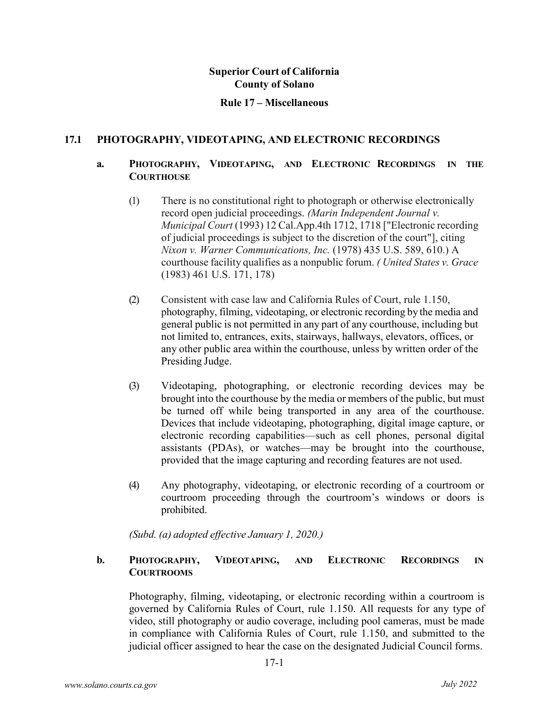### **Rule 17 – Miscellaneous**

### **17.1 PHOTOGRAPHY, VIDEOTAPING, AND ELECTRONIC RECORDINGS**

## **a. PHOTOGRAPHY, VIDEOTAPING, AND ELECTRONIC RECORDINGS IN THE COURTHOUSE**

- (1) There is no constitutional right to photograph or otherwise electronically record open judicial proceedings. *(Marin Independent Journal v. Municipal Court* (1993) 12 Cal.App.4th 1712, 1718 ["Electronic recording of judicial proceedings is subject to the discretion of the court"], citing *Nixon v. Warner Communications, Inc.* (1978) 435 U.S. 589, 610.) A courthouse facility qualifies as a nonpublic forum. *( United States v. Grace*  (1983) 461 U.S. 171, 178)
- (2) Consistent with case law and California Rules of Court, rule 1.150, photography, filming, videotaping, or electronic recording by the media and general public is not permitted in any part of any courthouse, including but not limited to, entrances, exits, stairways, hallways, elevators, offices, or any other public area within the courthouse, unless by written order of the Presiding Judge.
- (3) Videotaping, photographing, or electronic recording devices may be brought into the courthouse by the media or members of the public, but must be turned off while being transported in any area of the courthouse. Devices that include videotaping, photographing, digital image capture, or electronic recording capabilities—such as cell phones, personal digital assistants (PDAs), or watches—may be brought into the courthouse, provided that the image capturing and recording features are not used.
- (4) Any photography, videotaping, or electronic recording of a courtroom or courtroom proceeding through the courtroom's windows or doors is prohibited.

*(Subd. (a) adopted effective January 1, 2020.)*

## **b. PHOTOGRAPHY, VIDEOTAPING, AND ELECTRONIC RECORDINGS IN COURTROOMS**

Photography, filming, videotaping, or electronic recording within a courtroom is governed by California Rules of Court, rule 1.150. All requests for any type of video, still photography or audio coverage, including pool cameras, must be made in compliance with California Rules of Court, rule 1.150, and submitted to the judicial officer assigned to hear the case on the designated Judicial Council forms.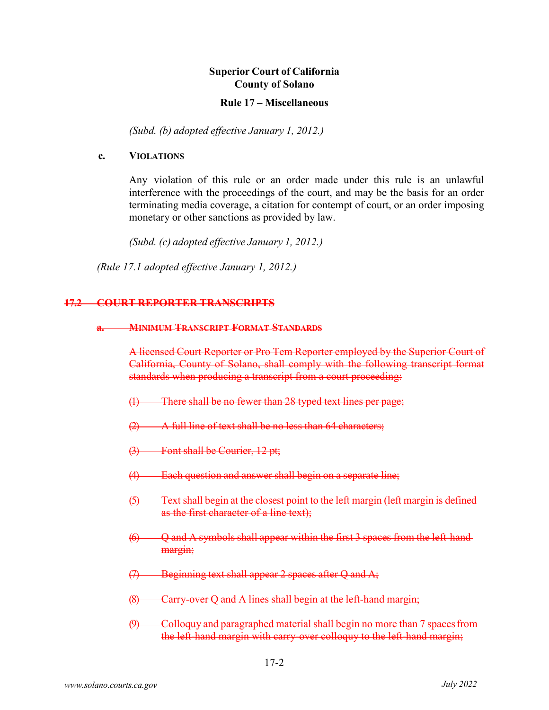#### **Rule 17 – Miscellaneous**

*(Subd. (b) adopted effective January 1, 2012.)*

#### **c. VIOLATIONS**

Any violation of this rule or an order made under this rule is an unlawful interference with the proceedings of the court, and may be the basis for an order terminating media coverage, a citation for contempt of court, or an order imposing monetary or other sanctions as provided by law.

*(Subd. (c) adopted effective January 1, 2012.)* 

*(Rule 17.1 adopted effective January 1, 2012.)*

#### **17.2 COURT REPORTER TRANSCRIPTS**

#### **a. MINIMUM TRANSCRIPT FORMAT STANDARDS**

A licensed Court Reporter or Pro Tem Reporter employed by the Superior Court of California, County of Solano, shall comply with the following transcript format standards when producing a transcript from a court proceeding:

- (1) There shall be no fewer than 28 typed text lines per page;
- (2) A full line of text shall be no less than 64 characters;
- (3) Font shall be Courier, 12 pt;
- (4) Each question and answer shall begin on a separate line;
- (5) Text shall begin at the closest point to the left margin (left margin is defined as the first character of a line text);
- $\left(\frac{6}{7}\right)$  Q and A symbols shall appear within the first 3 spaces from the left-handmargin;
- $(7)$  Beginning text shall appear 2 spaces after Q and A;
- (8) Carry-over Q and A lines shall begin at the left-hand margin;
- $(9)$  Colloquy and paragraphed material shall begin no more than 7 spaces from the left-hand margin with carry-over colloquy to the left-hand margin;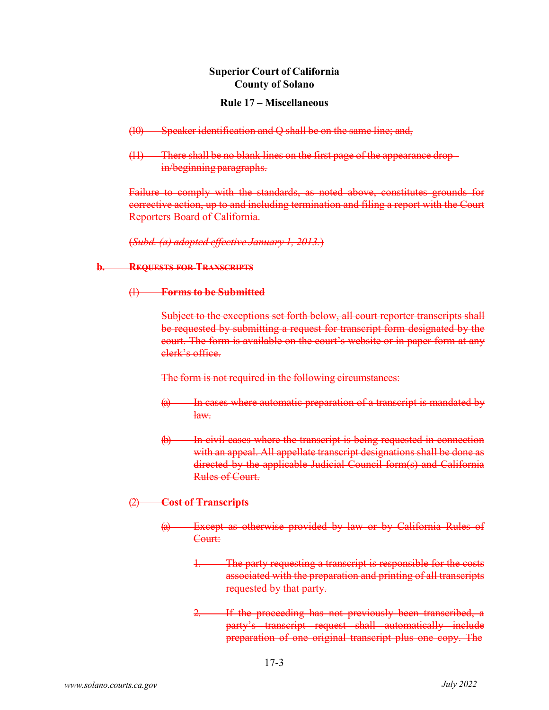#### **Rule 17 – Miscellaneous**

- (10) Speaker identification and Q shall be on the same line; and,
- (11) There shall be no blank lines on the first page of the appearance dropin/beginning paragraphs.

Failure to comply with the standards, as noted above, constitutes grounds for corrective action, up to and including termination and filing a report with the Court Reporters Board of California.

(*Subd. (a) adopted effective January 1, 2013.*)

## **b. REQUESTS FOR TRANSCRIPTS**

### (1) **Forms to be Submitted**

Subject to the exceptions set forth below, all court reporter transcripts shall be requested by submitting a request for transcript form designated by the court. The form is available on the court's website or in paper form at any clerk's office.

The form is not required in the following circumstances:

- (a) In cases where automatic preparation of a transcript is mandated by law.
- In civil cases where the transcript is being requested in connection with an appeal. All appellate transcript designations shall be done as directed by the applicable Judicial Council form(s) and California Rules of Court.

# (2) **Cost of Transcripts**

- (a) Except as otherwise provided by law or by California Rules of Court:
	- 1. The party requesting a transcript is responsible for the costs associated with the preparation and printing of all transcripts requested by that party.
	- If the proceeding has not previously been transcribed, a party's transcript request shall automatically include preparation of one original transcript plus one copy. The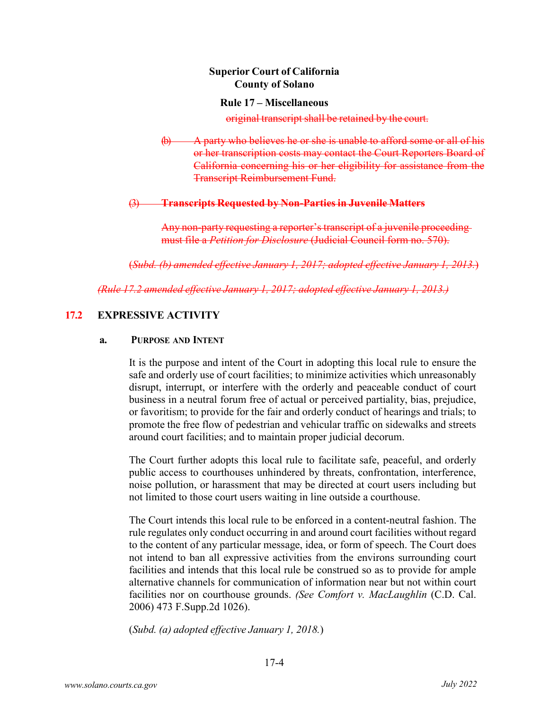#### **Rule 17 – Miscellaneous**

original transcript shall be retained by the court.

 $\phi$  A party who believes he or she is unable to afford some or all of his or her transcription costs may contact the Court Reporters Board of California concerning his or her eligibility for assistance from the Transcript Reimbursement Fund.

#### (3) **Transcripts Requested by Non-Parties in Juvenile Matters**

Any non-party requesting a reporter's transcript of a juvenile proceeding must file a *Petition for Disclosure* (Judicial Council form no. 570).

(*Subd. (b) amended effective January 1, 2017; adopted effective January 1, 2013.*)

*(Rule 17.2 amended effective January 1, 2017; adopted effective January 1, 2013.)*

# **17.2 EXPRESSIVE ACTIVITY**

#### **a. PURPOSE AND INTENT**

It is the purpose and intent of the Court in adopting this local rule to ensure the safe and orderly use of court facilities; to minimize activities which unreasonably disrupt, interrupt, or interfere with the orderly and peaceable conduct of court business in a neutral forum free of actual or perceived partiality, bias, prejudice, or favoritism; to provide for the fair and orderly conduct of hearings and trials; to promote the free flow of pedestrian and vehicular traffic on sidewalks and streets around court facilities; and to maintain proper judicial decorum.

The Court further adopts this local rule to facilitate safe, peaceful, and orderly public access to courthouses unhindered by threats, confrontation, interference, noise pollution, or harassment that may be directed at court users including but not limited to those court users waiting in line outside a courthouse.

The Court intends this local rule to be enforced in a content-neutral fashion. The rule regulates only conduct occurring in and around court facilities without regard to the content of any particular message, idea, or form of speech. The Court does not intend to ban all expressive activities from the environs surrounding court facilities and intends that this local rule be construed so as to provide for ample alternative channels for communication of information near but not within court facilities nor on courthouse grounds. *(See Comfort v. MacLaughlin* (C.D. Cal. 2006) 473 F.Supp.2d 1026).

(*Subd. (a) adopted effective January 1, 2018.*)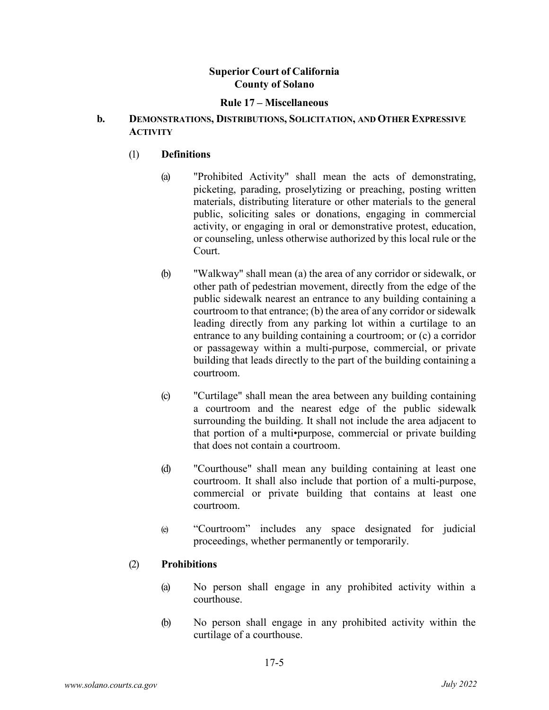#### **Rule 17 – Miscellaneous**

### **b. DEMONSTRATIONS, DISTRIBUTIONS, SOLICITATION, AND OTHER EXPRESSIVE ACTIVITY**

## (1) **Definitions**

- (a) "Prohibited Activity" shall mean the acts of demonstrating, picketing, parading, proselytizing or preaching, posting written materials, distributing literature or other materials to the general public, soliciting sales or donations, engaging in commercial activity, or engaging in oral or demonstrative protest, education, or counseling, unless otherwise authorized by this local rule or the Court.
- (b) "Walkway" shall mean (a) the area of any corridor or sidewalk, or other path of pedestrian movement, directly from the edge of the public sidewalk nearest an entrance to any building containing a courtroom to that entrance; (b) the area of any corridor or sidewalk leading directly from any parking lot within a curtilage to an entrance to any building containing a courtroom; or (c) a corridor or passageway within a multi-purpose, commercial, or private building that leads directly to the part of the building containing a courtroom.
- (c) "Curtilage" shall mean the area between any building containing a courtroom and the nearest edge of the public sidewalk surrounding the building. It shall not include the area adjacent to that portion of a multi•purpose, commercial or private building that does not contain a courtroom.
- (d) "Courthouse" shall mean any building containing at least one courtroom. It shall also include that portion of a multi-purpose, commercial or private building that contains at least one courtroom.
- (e) "Courtroom" includes any space designated for judicial proceedings, whether permanently or temporarily.

### (2) **Prohibitions**

- (a) No person shall engage in any prohibited activity within a courthouse.
- (b) No person shall engage in any prohibited activity within the curtilage of a courthouse.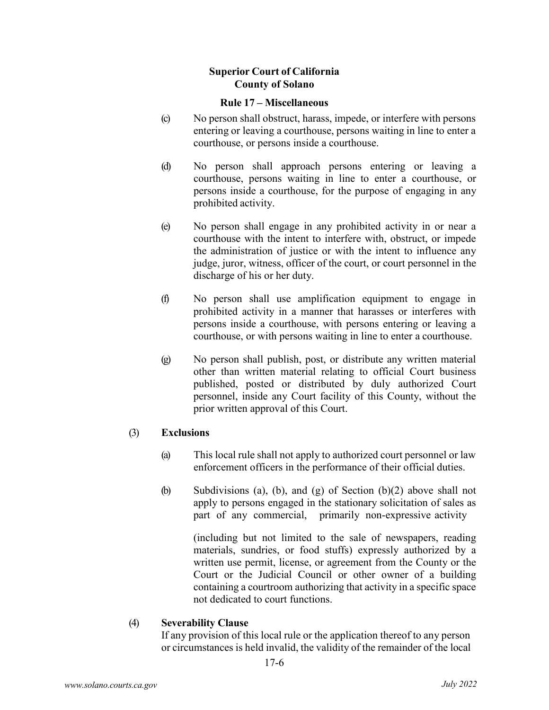#### **Rule 17 – Miscellaneous**

- (c) No person shall obstruct, harass, impede, or interfere with persons entering or leaving a courthouse, persons waiting in line to enter a courthouse, or persons inside a courthouse.
- (d) No person shall approach persons entering or leaving a courthouse, persons waiting in line to enter a courthouse, or persons inside a courthouse, for the purpose of engaging in any prohibited activity.
- (e) No person shall engage in any prohibited activity in or near a courthouse with the intent to interfere with, obstruct, or impede the administration of justice or with the intent to influence any judge, juror, witness, officer of the court, or court personnel in the discharge of his or her duty.
- (f) No person shall use amplification equipment to engage in prohibited activity in a manner that harasses or interferes with persons inside a courthouse, with persons entering or leaving a courthouse, or with persons waiting in line to enter a courthouse.
- (g) No person shall publish, post, or distribute any written material other than written material relating to official Court business published, posted or distributed by duly authorized Court personnel, inside any Court facility of this County, without the prior written approval of this Court.

### (3) **Exclusions**

- (a) This local rule shall not apply to authorized court personnel or law enforcement officers in the performance of their official duties.
- (b) Subdivisions (a), (b), and (g) of Section (b)(2) above shall not apply to persons engaged in the stationary solicitation of sales as part of any commercial, primarily non-expressive activity

(including but not limited to the sale of newspapers, reading materials, sundries, or food stuffs) expressly authorized by a written use permit, license, or agreement from the County or the Court or the Judicial Council or other owner of a building containing a courtroom authorizing that activity in a specific space not dedicated to court functions.

# (4) **Severability Clause**

If any provision of this local rule or the application thereof to any person or circumstances is held invalid, the validity of the remainder of the local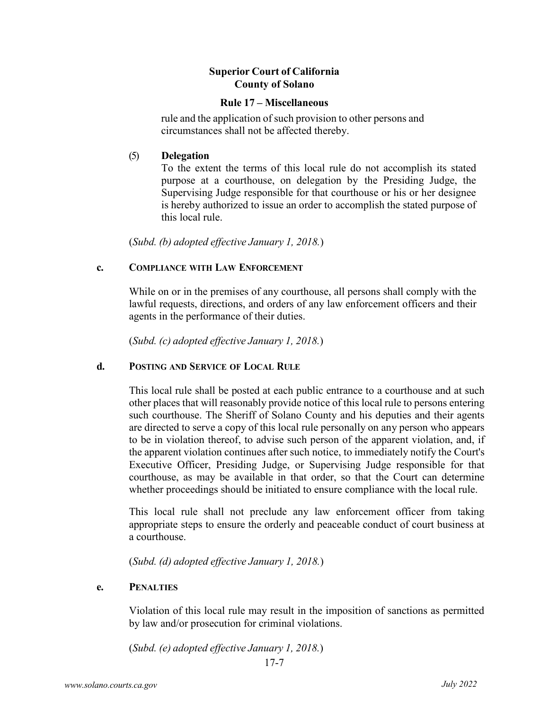#### **Rule 17 – Miscellaneous**

rule and the application of such provision to other persons and circumstances shall not be affected thereby.

## (5) **Delegation**

To the extent the terms of this local rule do not accomplish its stated purpose at a courthouse, on delegation by the Presiding Judge, the Supervising Judge responsible for that courthouse or his or her designee is hereby authorized to issue an order to accomplish the stated purpose of this local rule.

(*Subd. (b) adopted effective January 1, 2018.*)

## **c. COMPLIANCE WITH LAW ENFORCEMENT**

While on or in the premises of any courthouse, all persons shall comply with the lawful requests, directions, and orders of any law enforcement officers and their agents in the performance of their duties.

(*Subd. (c) adopted effective January 1, 2018.*)

# **d. POSTING AND SERVICE OF LOCAL RULE**

This local rule shall be posted at each public entrance to a courthouse and at such other places that will reasonably provide notice of this local rule to persons entering such courthouse. The Sheriff of Solano County and his deputies and their agents are directed to serve a copy of this local rule personally on any person who appears to be in violation thereof, to advise such person of the apparent violation, and, if the apparent violation continues after such notice, to immediately notify the Court's Executive Officer, Presiding Judge, or Supervising Judge responsible for that courthouse, as may be available in that order, so that the Court can determine whether proceedings should be initiated to ensure compliance with the local rule.

This local rule shall not preclude any law enforcement officer from taking appropriate steps to ensure the orderly and peaceable conduct of court business at a courthouse.

(*Subd. (d) adopted effective January 1, 2018.*)

### **e. PENALTIES**

Violation of this local rule may result in the imposition of sanctions as permitted by law and/or prosecution for criminal violations.

(*Subd. (e) adopted effective January 1, 2018.*)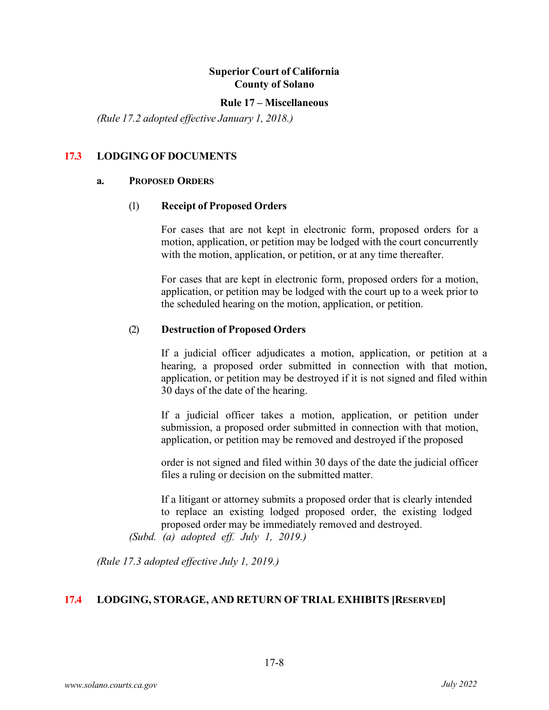#### **Rule 17 – Miscellaneous**

*(Rule 17.2 adopted effective January 1, 2018.)*

## **17.3 LODGING OF DOCUMENTS**

#### **a. PROPOSED ORDERS**

#### (1) **Receipt of Proposed Orders**

For cases that are not kept in electronic form, proposed orders for a motion, application, or petition may be lodged with the court concurrently with the motion, application, or petition, or at any time thereafter.

For cases that are kept in electronic form, proposed orders for a motion, application, or petition may be lodged with the court up to a week prior to the scheduled hearing on the motion, application, or petition.

#### (2) **Destruction of Proposed Orders**

If a judicial officer adjudicates a motion, application, or petition at a hearing, a proposed order submitted in connection with that motion, application, or petition may be destroyed if it is not signed and filed within 30 days of the date of the hearing.

If a judicial officer takes a motion, application, or petition under submission, a proposed order submitted in connection with that motion, application, or petition may be removed and destroyed if the proposed

order is not signed and filed within 30 days of the date the judicial officer files a ruling or decision on the submitted matter.

If a litigant or attorney submits a proposed order that is clearly intended to replace an existing lodged proposed order, the existing lodged proposed order may be immediately removed and destroyed.

*(Subd. (a) adopted eff. July 1, 2019.)* 

*(Rule 17.3 adopted effective July 1, 2019.)*

### **17.4 LODGING, STORAGE, AND RETURN OF TRIAL EXHIBITS [RESERVED]**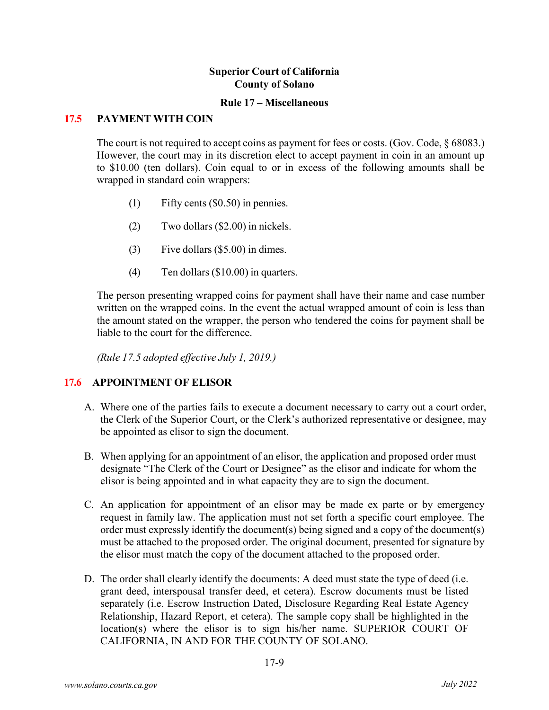#### **Rule 17 – Miscellaneous**

## **17.5 PAYMENT WITH COIN**

The court is not required to accept coins as payment for fees or costs. (Gov. Code, § 68083.) However, the court may in its discretion elect to accept payment in coin in an amount up to \$10.00 (ten dollars). Coin equal to or in excess of the following amounts shall be wrapped in standard coin wrappers:

- (1) Fifty cents (\$0.50) in pennies.
- (2) Two dollars (\$2.00) in nickels.
- (3) Five dollars (\$5.00) in dimes.
- (4) Ten dollars (\$10.00) in quarters.

The person presenting wrapped coins for payment shall have their name and case number written on the wrapped coins. In the event the actual wrapped amount of coin is less than the amount stated on the wrapper, the person who tendered the coins for payment shall be liable to the court for the difference.

*(Rule 17.5 adopted effective July 1, 2019.)*

### **17.6 APPOINTMENT OF ELISOR**

- A. Where one of the parties fails to execute a document necessary to carry out a court order, the Clerk of the Superior Court, or the Clerk's authorized representative or designee, may be appointed as elisor to sign the document.
- B. When applying for an appointment of an elisor, the application and proposed order must designate "The Clerk of the Court or Designee" as the elisor and indicate for whom the elisor is being appointed and in what capacity they are to sign the document.
- C. An application for appointment of an elisor may be made ex parte or by emergency request in family law. The application must not set forth a specific court employee. The order must expressly identify the document(s) being signed and a copy of the document(s) must be attached to the proposed order. The original document, presented for signature by the elisor must match the copy of the document attached to the proposed order.
- D. The order shall clearly identify the documents: A deed must state the type of deed (i.e. grant deed, interspousal transfer deed, et cetera). Escrow documents must be listed separately (i.e. Escrow Instruction Dated, Disclosure Regarding Real Estate Agency Relationship, Hazard Report, et cetera). The sample copy shall be highlighted in the location(s) where the elisor is to sign his/her name. SUPERIOR COURT OF CALIFORNIA, IN AND FOR THE COUNTY OF SOLANO.